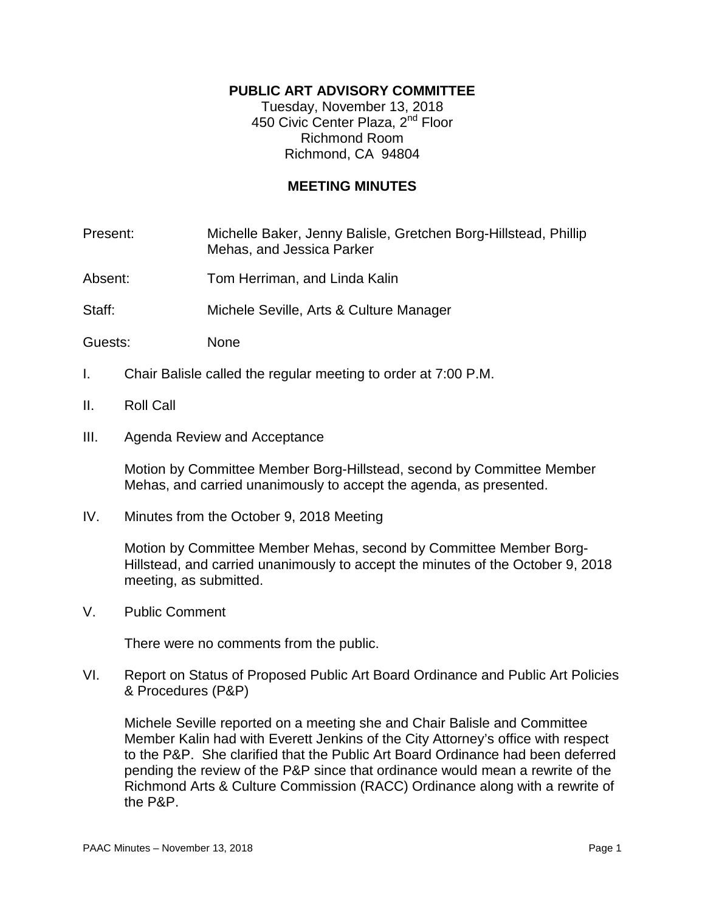## **PUBLIC ART ADVISORY COMMITTEE**

Tuesday, November 13, 2018 450 Civic Center Plaza, 2<sup>nd</sup> Floor Richmond Room Richmond, CA 94804

## **MEETING MINUTES**

Present: Michelle Baker, Jenny Balisle, Gretchen Borg-Hillstead, Phillip Mehas, and Jessica Parker

Absent: Tom Herriman, and Linda Kalin

Staff: Michele Seville, Arts & Culture Manager

- Guests: None
- I. Chair Balisle called the regular meeting to order at 7:00 P.M.
- II. Roll Call
- III. Agenda Review and Acceptance

Motion by Committee Member Borg-Hillstead, second by Committee Member Mehas, and carried unanimously to accept the agenda, as presented.

IV. Minutes from the October 9, 2018 Meeting

Motion by Committee Member Mehas, second by Committee Member Borg-Hillstead, and carried unanimously to accept the minutes of the October 9, 2018 meeting, as submitted.

V. Public Comment

There were no comments from the public.

VI. Report on Status of Proposed Public Art Board Ordinance and Public Art Policies & Procedures (P&P)

Michele Seville reported on a meeting she and Chair Balisle and Committee Member Kalin had with Everett Jenkins of the City Attorney's office with respect to the P&P. She clarified that the Public Art Board Ordinance had been deferred pending the review of the P&P since that ordinance would mean a rewrite of the Richmond Arts & Culture Commission (RACC) Ordinance along with a rewrite of the P&P.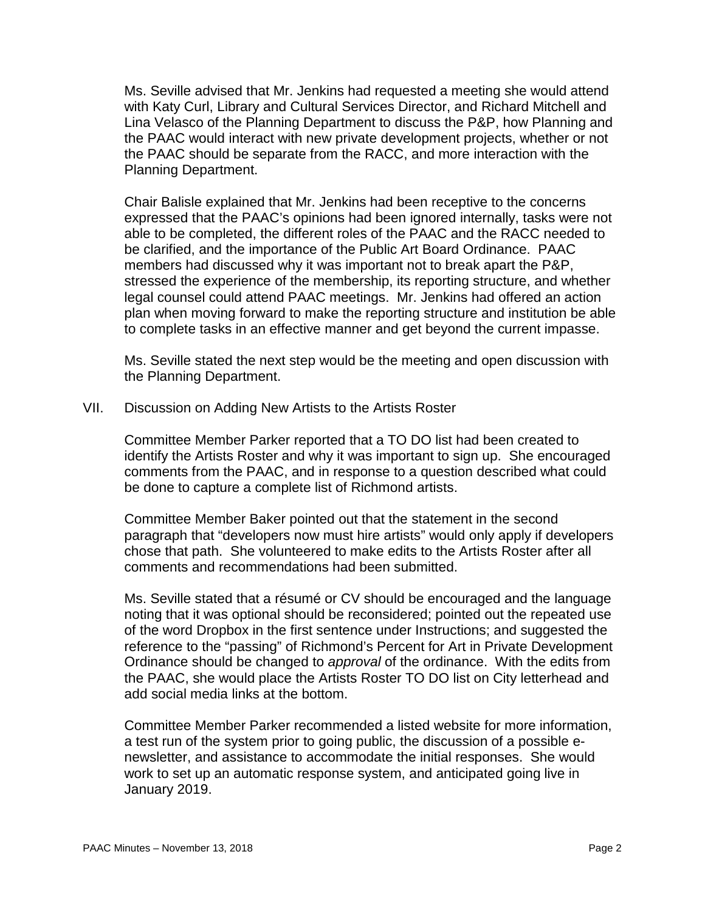Ms. Seville advised that Mr. Jenkins had requested a meeting she would attend with Katy Curl, Library and Cultural Services Director, and Richard Mitchell and Lina Velasco of the Planning Department to discuss the P&P, how Planning and the PAAC would interact with new private development projects, whether or not the PAAC should be separate from the RACC, and more interaction with the Planning Department.

Chair Balisle explained that Mr. Jenkins had been receptive to the concerns expressed that the PAAC's opinions had been ignored internally, tasks were not able to be completed, the different roles of the PAAC and the RACC needed to be clarified, and the importance of the Public Art Board Ordinance. PAAC members had discussed why it was important not to break apart the P&P, stressed the experience of the membership, its reporting structure, and whether legal counsel could attend PAAC meetings. Mr. Jenkins had offered an action plan when moving forward to make the reporting structure and institution be able to complete tasks in an effective manner and get beyond the current impasse.

Ms. Seville stated the next step would be the meeting and open discussion with the Planning Department.

VII. Discussion on Adding New Artists to the Artists Roster

Committee Member Parker reported that a TO DO list had been created to identify the Artists Roster and why it was important to sign up. She encouraged comments from the PAAC, and in response to a question described what could be done to capture a complete list of Richmond artists.

Committee Member Baker pointed out that the statement in the second paragraph that "developers now must hire artists" would only apply if developers chose that path. She volunteered to make edits to the Artists Roster after all comments and recommendations had been submitted.

Ms. Seville stated that a résumé or CV should be encouraged and the language noting that it was optional should be reconsidered; pointed out the repeated use of the word Dropbox in the first sentence under Instructions; and suggested the reference to the "passing" of Richmond's Percent for Art in Private Development Ordinance should be changed to *approval* of the ordinance. With the edits from the PAAC, she would place the Artists Roster TO DO list on City letterhead and add social media links at the bottom.

Committee Member Parker recommended a listed website for more information, a test run of the system prior to going public, the discussion of a possible enewsletter, and assistance to accommodate the initial responses. She would work to set up an automatic response system, and anticipated going live in January 2019.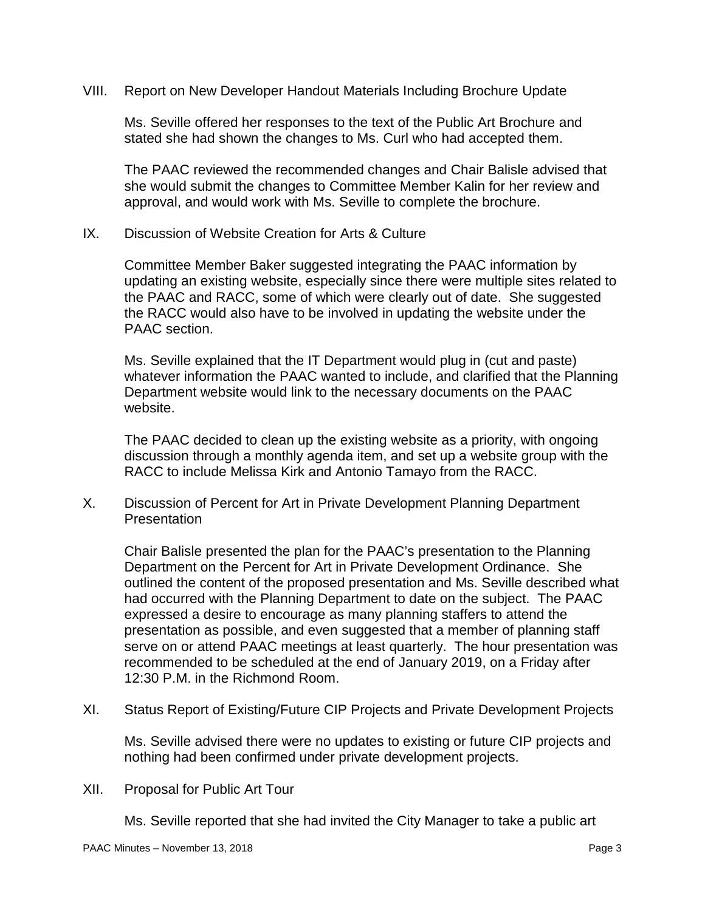VIII. Report on New Developer Handout Materials Including Brochure Update

Ms. Seville offered her responses to the text of the Public Art Brochure and stated she had shown the changes to Ms. Curl who had accepted them.

The PAAC reviewed the recommended changes and Chair Balisle advised that she would submit the changes to Committee Member Kalin for her review and approval, and would work with Ms. Seville to complete the brochure.

IX. Discussion of Website Creation for Arts & Culture

Committee Member Baker suggested integrating the PAAC information by updating an existing website, especially since there were multiple sites related to the PAAC and RACC, some of which were clearly out of date. She suggested the RACC would also have to be involved in updating the website under the PAAC section.

Ms. Seville explained that the IT Department would plug in (cut and paste) whatever information the PAAC wanted to include, and clarified that the Planning Department website would link to the necessary documents on the PAAC website.

The PAAC decided to clean up the existing website as a priority, with ongoing discussion through a monthly agenda item, and set up a website group with the RACC to include Melissa Kirk and Antonio Tamayo from the RACC.

X. Discussion of Percent for Art in Private Development Planning Department Presentation

Chair Balisle presented the plan for the PAAC's presentation to the Planning Department on the Percent for Art in Private Development Ordinance. She outlined the content of the proposed presentation and Ms. Seville described what had occurred with the Planning Department to date on the subject. The PAAC expressed a desire to encourage as many planning staffers to attend the presentation as possible, and even suggested that a member of planning staff serve on or attend PAAC meetings at least quarterly. The hour presentation was recommended to be scheduled at the end of January 2019, on a Friday after 12:30 P.M. in the Richmond Room.

XI. Status Report of Existing/Future CIP Projects and Private Development Projects

Ms. Seville advised there were no updates to existing or future CIP projects and nothing had been confirmed under private development projects.

XII. Proposal for Public Art Tour

Ms. Seville reported that she had invited the City Manager to take a public art